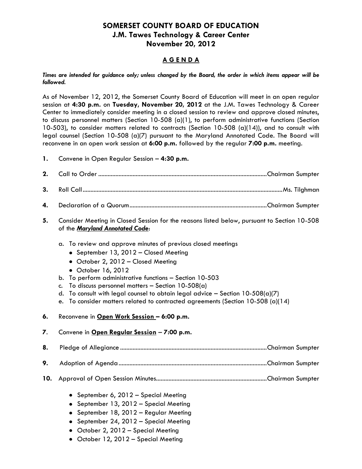## **SOMERSET COUNTY BOARD OF EDUCATION J.M. Tawes Technology & Career Center November 20, 2012**

## **A G E N D A**

*Times are intended for guidance only; unless changed by the Board, the order in which items appear will be followed.*

As of November 12, 2012, the Somerset County Board of Education will meet in an open regular session at **4:30 p.m.** on **Tuesday, November 20, 2012** at the J.M. Tawes Technology & Career Center to immediately consider meeting in a closed session to review and approve closed minutes, to discuss personnel matters (Section 10-508 (a)(1), to perform administrative functions (Section 10-503), to consider matters related to contracts (Section 10-508 (a)(14)), and to consult with legal counsel (Section 10-508 (a)(7) pursuant to the Maryland Annotated Code. The Board will reconvene in an open work session at **6:00 p.m.** followed by the regular **7:00 p.m.** meeting.

**1.** Convene in Open Regular Session – **4:30 p.m.**

| 2.  |                                                                                                                                                                                                                                                                                                                                                                                                                                                                             |  |  |
|-----|-----------------------------------------------------------------------------------------------------------------------------------------------------------------------------------------------------------------------------------------------------------------------------------------------------------------------------------------------------------------------------------------------------------------------------------------------------------------------------|--|--|
| 3.  |                                                                                                                                                                                                                                                                                                                                                                                                                                                                             |  |  |
| 4.  |                                                                                                                                                                                                                                                                                                                                                                                                                                                                             |  |  |
| 5.  | Consider Meeting in Closed Session for the reasons listed below, pursuant to Section 10-508<br>of the Maryland Annotated Code:                                                                                                                                                                                                                                                                                                                                              |  |  |
|     | To review and approve minutes of previous closed meetings<br>a.<br>• September 13, 2012 - Closed Meeting<br>• October 2, 2012 - Closed Meeting<br>• October 16, 2012<br>To perform administrative functions - Section 10-503<br>b.<br>To discuss personnel matters - Section $10-508(a)$<br>c.<br>To consult with legal counsel to obtain legal advice - Section $10-508(a)(7)$<br>d.<br>To consider matters related to contracted agreements (Section 10-508 (a)(14)<br>e. |  |  |
| 6.  | Reconvene in Open Work Session - 6:00 p.m.                                                                                                                                                                                                                                                                                                                                                                                                                                  |  |  |
| 7.  | Convene in Open Regular Session - 7:00 p.m.                                                                                                                                                                                                                                                                                                                                                                                                                                 |  |  |
| 8.  |                                                                                                                                                                                                                                                                                                                                                                                                                                                                             |  |  |
| 9.  |                                                                                                                                                                                                                                                                                                                                                                                                                                                                             |  |  |
| 10. |                                                                                                                                                                                                                                                                                                                                                                                                                                                                             |  |  |
|     | • September 6, 2012 - Special Meeting<br>September 13, 2012 - Special Meeting<br>٠<br>September 18, 2012 - Regular Meeting<br>• September 24, 2012 - Special Meeting                                                                                                                                                                                                                                                                                                        |  |  |

- October 2, 2012 Special Meeting
- October 12, 2012 Special Meeting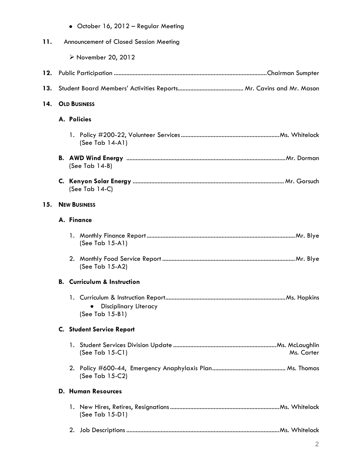|     |                                        | • October 16, 2012 - Regular Meeting            |  |
|-----|----------------------------------------|-------------------------------------------------|--|
| 11. | Announcement of Closed Session Meeting |                                                 |  |
|     |                                        | ≻ November 20, 2012                             |  |
| 12. |                                        |                                                 |  |
| 13. |                                        |                                                 |  |
| 14. | <b>OLD BUSINESS</b>                    |                                                 |  |
|     |                                        | A. Policies                                     |  |
|     |                                        | (See Tab $14-A1$ )                              |  |
|     |                                        | (See Tab 14-B)                                  |  |
|     | C.                                     | (See Tab $14-C$ )                               |  |
| 15. | <b>NEW BUSINESS</b>                    |                                                 |  |
|     |                                        | A. Finance                                      |  |
|     |                                        | (See Tab 15-A1)                                 |  |
|     |                                        | (See Tab 15-A2)                                 |  |
|     |                                        | <b>B.</b> Curriculum & Instruction              |  |
|     |                                        | <b>Disciplinary Literacy</b><br>(See Tab 15-B1) |  |
|     |                                        | <b>C.</b> Student Service Report                |  |
|     |                                        | (See Tab 15-C1)<br>Ms. Carter                   |  |
|     |                                        | (See Tab 15-C2)                                 |  |
|     |                                        | <b>D. Human Resources</b>                       |  |
|     |                                        | (See Tab $15-D1$ )                              |  |
|     |                                        | 2.                                              |  |